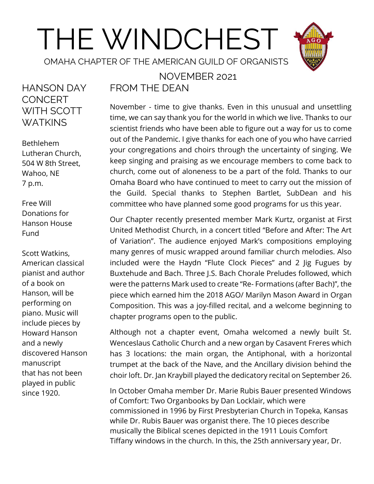# THE WINDCHEST

OMAHA CHAPTER OF THE AMERICAN GUILD OF ORGANISTS

#### HANSON DAY **CONCERT** WITH SCOTT WATKINS

Bethlehem Lutheran Church, 504 W 8th Street, Wahoo, NE 7 p.m.

Free Will Donations for Hanson House Fund

Scott Watkins, American classical pianist and author of a book on Hanson, will be performing on piano. Music will include pieces by Howard Hanson and a newly discovered Hanson manuscript that has not been played in public since 1920.

#### NOVEMBER 2021 FROM THE DEAN

November - time to give thanks. Even in this unusual and unsettling time, we can say thank you for the world in which we live. Thanks to our scientist friends who have been able to figure out a way for us to come out of the Pandemic. I give thanks for each one of you who have carried your congregations and choirs through the uncertainty of singing. We keep singing and praising as we encourage members to come back to church, come out of aloneness to be a part of the fold. Thanks to our Omaha Board who have continued to meet to carry out the mission of the Guild. Special thanks to Stephen Bartlet, SubDean and his committee who have planned some good programs for us this year.

Our Chapter recently presented member Mark Kurtz, organist at First United Methodist Church, in a concert titled "Before and After: The Art of Variation". The audience enjoyed Mark's compositions employing many genres of music wrapped around familiar church melodies. Also included were the Haydn "Flute Clock Pieces" and 2 Jig Fugues by Buxtehude and Bach. Three J.S. Bach Chorale Preludes followed, which were the patterns Mark used to create "Re- Formations (after Bach)", the piece which earned him the 2018 AGO/ Marilyn Mason Award in Organ Composition. This was a joy-filled recital, and a welcome beginning to chapter programs open to the public.

Although not a chapter event, Omaha welcomed a newly built St. Wenceslaus Catholic Church and a new organ by Casavent Freres which has 3 locations: the main organ, the Antiphonal, with a horizontal trumpet at the back of the Nave, and the Ancillary division behind the choir loft. Dr. Jan Kraybill played the dedicatory recital on September 26.

In October Omaha member Dr. Marie Rubis Bauer presented Windows of Comfort: Two Organbooks by Dan Locklair, which were commissioned in 1996 by First Presbyterian Church in Topeka, Kansas while Dr. Rubis Bauer was organist there. The 10 pieces describe musically the Biblical scenes depicted in the 1911 Louis Comfort Tiffany windows in the church. In this, the 25th anniversary year, Dr.

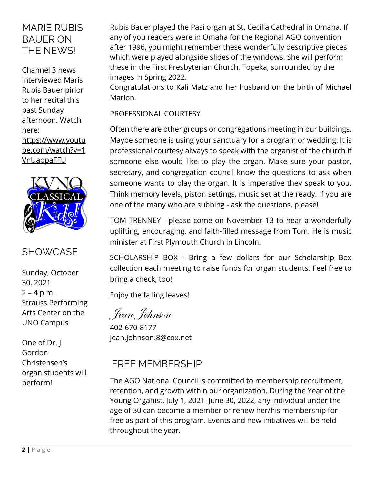#### MARIE RUBIS BAUER ON THE NEWS!

Channel 3 news interviewed Maris Rubis Bauer pirior to her recital this past Sunday afternoon. Watch here: [https://www.youtu](https://www.youtube.com/watch?v=1VnUaopaFFU) [be.com/watch?v=1](https://www.youtube.com/watch?v=1VnUaopaFFU) [VnUaopaFFU](https://www.youtube.com/watch?v=1VnUaopaFFU)



#### **SHOWCASE**

Sunday, October 30, 2021  $2 - 4 p.m.$ Strauss Performing Arts Center on the UNO Campus

One of Dr. J Gordon Christensen's organ students will perform!

Rubis Bauer played the Pasi organ at St. Cecilia Cathedral in Omaha. If any of you readers were in Omaha for the Regional AGO convention after 1996, you might remember these wonderfully descriptive pieces which were played alongside slides of the windows. She will perform these in the First Presbyterian Church, Topeka, surrounded by the images in Spring 2022.

Congratulations to Kali Matz and her husband on the birth of Michael Marion.

PROFESSIONAL COURTESY

Often there are other groups or congregations meeting in our buildings. Maybe someone is using your sanctuary for a program or wedding. It is professional courtesy always to speak with the organist of the church if someone else would like to play the organ. Make sure your pastor, secretary, and congregation council know the questions to ask when someone wants to play the organ. It is imperative they speak to you. Think memory levels, piston settings, music set at the ready. If you are one of the many who are subbing - ask the questions, please!

TOM TRENNEY - please come on November 13 to hear a wonderfully uplifting, encouraging, and faith-filled message from Tom. He is music minister at First Plymouth Church in Lincoln.

SCHOLARSHIP BOX - Bring a few dollars for our Scholarship Box collection each meeting to raise funds for organ students. Feel free to bring a check, too!

Enjoy the falling leaves!

Jean Johnson

402-670-8177 [jean.johnson.8@cox.net](mailto:jean.johnson.8@cox.net)

#### FREE MEMBERSHIP

The AGO National Council is committed to membership recruitment, retention, and growth within our organization. During the Year of the Young Organist, July 1, 2021–June 30, 2022, any individual under the age of 30 can become a member or renew her/his membership for free as part of this program. Events and new initiatives will be held throughout the year.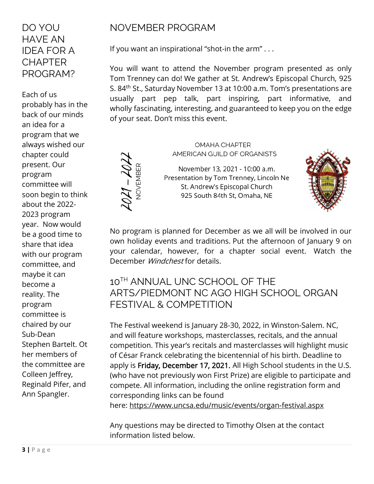#### DO YOU HAVE AN IDEA FOR A **CHAPTER** PROGRAM?

Each of us probably has in the back of our minds an idea for a program that we always wished our chapter could present. Our program committee will soon begin to think about the 2022- 2023 program year. Now would be a good time to share that idea with our program committee, and maybe it can become a reality. The program committee is chaired by our Sub-Dean Stephen Bartelt. Ot her members of the committee are Colleen Jeffrey, Reginald Pifer, and Ann Spangler.

#### NOVEMBER PROGRAM

If you want an inspirational "shot-in the arm" . . .

You will want to attend the November program presented as only Tom Trenney can do! We gather at St. Andrew's Episcopal Church, 925 S. 84th St., Saturday November 13 at 10:00 a.m. Tom's presentations are usually part pep talk, part inspiring, part informative, and wholly fascinating, interesting, and guaranteed to keep you on the edge of your seat. Don't miss this event.

 $2021 - 202$ 

**OMAHA CHAPTER** AMERICAN GUILD OF ORGANISTS

November 13, 2021 - 10:00 a.m. Presentation by Tom Trenney, Lincoln Ne St. Andrew's Episcopal Church 925 South 84th St, Omaha, NE



No program is planned for December as we all will be involved in our own holiday events and traditions. Put the afternoon of January 9 on your calendar, however, for a chapter social event. Watch the December Windchest for details.

#### 10<sup>TH</sup> ANNUAL UNC SCHOOL OF THE ARTS/PIEDMONT NC AGO HIGH SCHOOL ORGAN FESTIVAL & COMPETITION

The Festival weekend is January 28-30, 2022, in Winston-Salem. NC, and will feature workshops, masterclasses, recitals, and the annual competition. This year's recitals and masterclasses will highlight music of César Franck celebrating the bicentennial of his birth. Deadline to apply is Friday, December 17, 2021. All High School students in the U.S. (who have not previously won First Prize) are eligible to participate and compete. All information, including the online registration form and corresponding links can be found here: <https://www.uncsa.edu/music/events/organ-festival.aspx>

Any questions may be directed to Timothy Olsen at the contact

information listed below.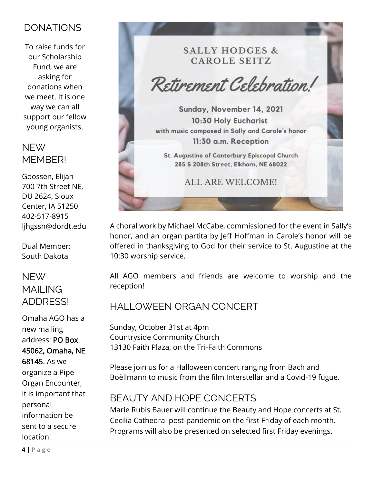#### DONATIONS

To raise funds for our Scholarship Fund, we are asking for donations when we meet. It is one way we can all support our fellow young organists.

#### NEW MFMBFR!

Goossen, Elijah 700 7th Street NE, DU 2624, Sioux Center, IA 51250 402-517-8915 [ljhgssn@dordt.edu](mailto:ljhgssn@dordt.edu)

Dual Member: South Dakota

#### NEW MAII ING ADDRESS!

Omaha AGO has a new mailing address: PO Box 45062, Omaha, NE 68145. As we organize a Pipe Organ Encounter, it is important that personal information be sent to a secure location!

**SALLY HODGES & CAROLE SEITZ** 

Retirement Celebration!

Sunday, November 14, 2021 10:30 Holy Eucharist with music composed in Sally and Carole's honor 11:30 a.m. Reception

St. Augustine of Canterbury Episcopal Church 285 S 208th Street, Elkhorn, NE 68022

**ALL ARE WELCOME!** 

A choral work by Michael McCabe, commissioned for the event in Sally's honor, and an organ partita by Jeff Hoffman in Carole's honor will be offered in thanksgiving to God for their service to St. Augustine at the 10:30 worship service.

All AGO members and friends are welcome to worship and the reception!

#### HALLOWEEN ORGAN CONCERT

Sunday, October 31st at 4pm Countryside Community Church 13130 Faith Plaza, on the Tri-Faith Commons

Please join us for a Halloween concert ranging from Bach and Boëllmann to music from the film Interstellar and a Covid-19 fugue.

#### BEAUTY AND HOPE CONCERTS

Marie Rubis Bauer will continue the Beauty and Hope concerts at St. Cecilia Cathedral post-pandemic on the first Friday of each month. Programs will also be presented on selected first Friday evenings.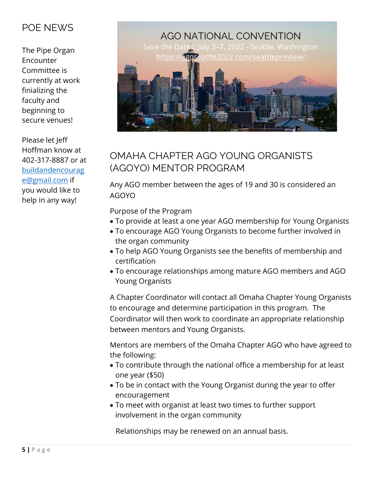#### POE NEWS

The Pipe Organ Encounter Committee is currently at work finializing the faculty and beginning to secure venues!

Please let Jeff Hoffman know at 402-317-8887 or at [buildandencourag](mailto:buildandencourage@gmail.com) [e@gmail.com](mailto:buildandencourage@gmail.com) if you would like to help in any way!



#### OMAHA CHAPTER AGO YOUNG ORGANISTS (AGOYO) MENTOR PROGRAM

Any AGO member between the ages of 19 and 30 is considered an AGOYO

Purpose of the Program

- To provide at least a one year AGO membership for Young Organists
- To encourage AGO Young Organists to become further involved in the organ community
- To help AGO Young Organists see the benefits of membership and certification
- To encourage relationships among mature AGO members and AGO Young Organists

A Chapter Coordinator will contact all Omaha Chapter Young Organists to encourage and determine participation in this program. The Coordinator will then work to coordinate an appropriate relationship between mentors and Young Organists.

Mentors are members of the Omaha Chapter AGO who have agreed to the following:

- To contribute through the national office a membership for at least one year (\$50)
- To be in contact with the Young Organist during the year to offer encouragement
- To meet with organist at least two times to further support involvement in the organ community

Relationships may be renewed on an annual basis.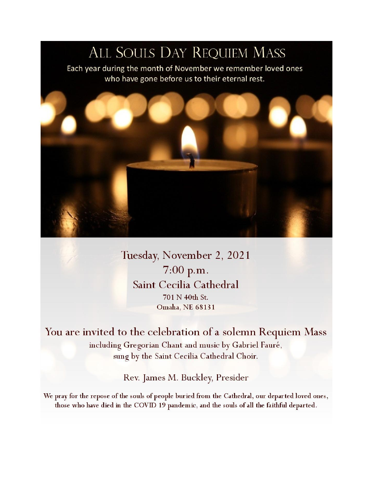## ALL SOULS DAY REQUIEM MASS

Each year during the month of November we remember loved ones who have gone before us to their eternal rest.



Tuesday, November 2, 2021 7:00 p.m. Saint Cecilia Cathedral 701 N 40th St. Omaha, NE 68131

You are invited to the celebration of a solemn Requiem Mass including Gregorian Chant and music by Gabriel Fauré, sung by the Saint Cecilia Cathedral Choir.

Rev. James M. Buckley, Presider

We pray for the repose of the souls of people buried from the Cathedral, our departed loved ones, those who have died in the COVID 19 pandemic, and the souls of all the faithful departed.